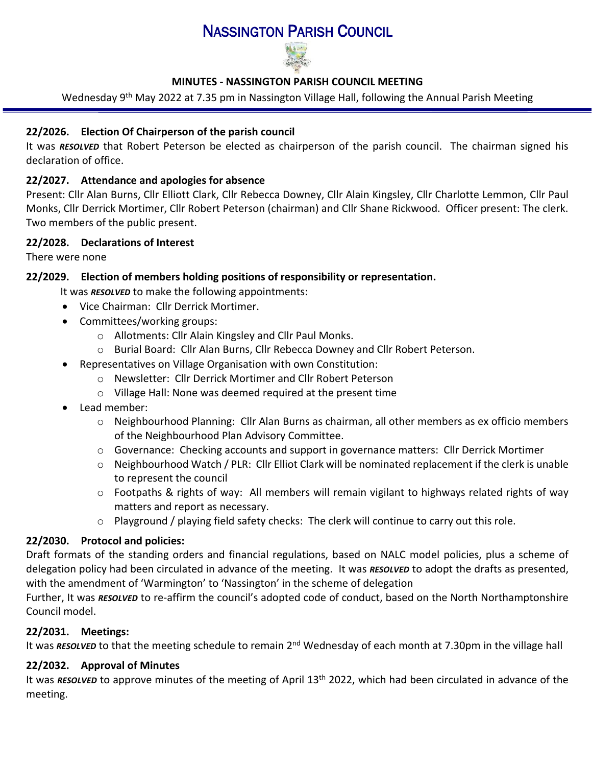# NASSINGTON PARISH COUNCIL



## **MINUTES - NASSINGTON PARISH COUNCIL MEETING**

Wednesday 9<sup>th</sup> May 2022 at 7.35 pm in Nassington Village Hall, following the Annual Parish Meeting

# **22/2026. Election Of Chairperson of the parish council**

It was *RESOLVED* that Robert Peterson be elected as chairperson of the parish council. The chairman signed his declaration of office.

## **22/2027. Attendance and apologies for absence**

Present: Cllr Alan Burns, Cllr Elliott Clark, Cllr Rebecca Downey, Cllr Alain Kingsley, Cllr Charlotte Lemmon, Cllr Paul Monks, Cllr Derrick Mortimer, Cllr Robert Peterson (chairman) and Cllr Shane Rickwood. Officer present: The clerk. Two members of the public present.

#### **22/2028. [Declarations of Interest](http://www.east-northamptonshire.gov.uk/info/723/parish_and_town_councils/1464/deene_and_deenethorpe_parish_council)**

There were none

# **22/2029. Election of members holding positions of responsibility or representation.**

It was *RESOLVED* to make the following appointments:

- Vice Chairman: Cllr Derrick Mortimer.
- Committees/working groups:
	- o Allotments: Cllr Alain Kingsley and Cllr Paul Monks.
	- o Burial Board: Cllr Alan Burns, Cllr Rebecca Downey and Cllr Robert Peterson.
- Representatives on Village Organisation with own Constitution:
	- o Newsletter: Cllr Derrick Mortimer and Cllr Robert Peterson
	- o Village Hall: None was deemed required at the present time
- Lead member:
	- o Neighbourhood Planning: Cllr Alan Burns as chairman, all other members as ex officio members of the Neighbourhood Plan Advisory Committee.
	- o Governance: Checking accounts and support in governance matters: Cllr Derrick Mortimer
	- $\circ$  Neighbourhood Watch / PLR: Cllr Elliot Clark will be nominated replacement if the clerk is unable to represent the council
	- $\circ$  Footpaths & rights of way: All members will remain vigilant to highways related rights of way matters and report as necessary.
	- o Playground / playing field safety checks: The clerk will continue to carry out this role.

## **22/2030. Protocol and policies:**

Draft formats of the standing orders and financial regulations, based on NALC model policies, plus a scheme of delegation policy had been circulated in advance of the meeting. It was *RESOLVED* to adopt the drafts as presented, with the amendment of 'Warmington' to 'Nassington' in the scheme of delegation

Further, It was *RESOLVED* to re-affirm the council's adopted code of conduct, based on the North Northamptonshire Council model.

## **22/2031. Meetings:**

It was *RESOLVED* to that the meeting schedule to remain 2<sup>nd</sup> Wednesday of each month at 7.30pm in the village hall

## **22/2032. Approval of Minutes**

It was RESOLVED to approve minutes of the meeting of April 13<sup>th</sup> 2022, which had been circulated in advance of the meeting.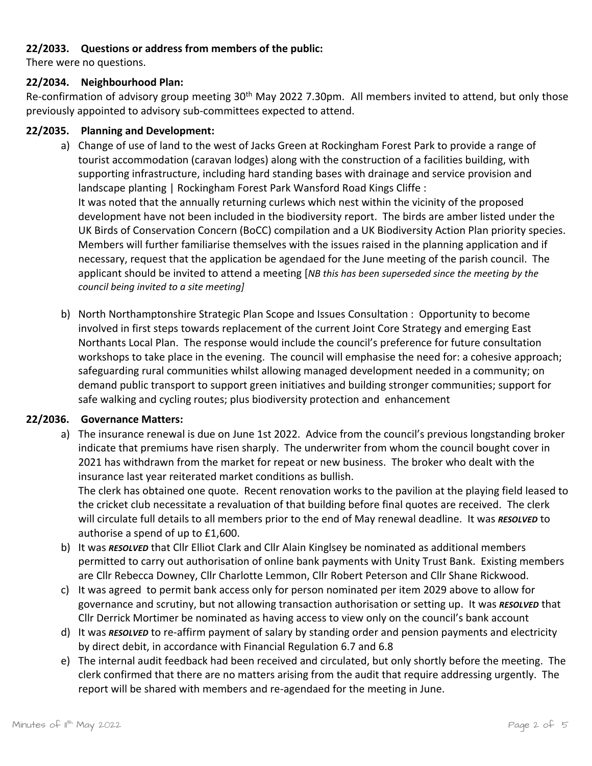#### **22/2033. Questions or address from members of the public:**

There were no questions.

#### **22/2034. Neighbourhood Plan:**

Re-confirmation of advisory group meeting 30<sup>th</sup> May 2022 7.30pm. All members invited to attend, but only those previously appointed to advisory sub-committees expected to attend.

#### **22/2035. Planning and Development:**

- a) Change of use of land to the west of Jacks Green at Rockingham Forest Park to provide a range of tourist accommodation (caravan lodges) along with the construction of a facilities building, with supporting infrastructure, including hard standing bases with drainage and service provision and landscape planting | Rockingham Forest Park Wansford Road Kings Cliffe : It was noted that the annually returning curlews which nest within the vicinity of the proposed development have not been included in the biodiversity report. The birds are amber listed under the UK Birds of Conservation Concern (BoCC) compilation and a UK Biodiversity Action Plan priority species. Members will further familiarise themselves with the issues raised in the planning application and if necessary, request that the application be agendaed for the June meeting of the parish council. The applicant should be invited to attend a meeting [*NB this has been superseded since the meeting by the council being invited to a site meeting]*
- b) North Northamptonshire Strategic Plan Scope and Issues Consultation : Opportunity to become involved in first steps towards replacement of the current Joint Core Strategy and emerging East Northants Local Plan. The response would include the council's preference for future consultation workshops to take place in the evening. The council will emphasise the need for: a cohesive approach; safeguarding rural communities whilst allowing managed development needed in a community; on demand public transport to support green initiatives and building stronger communities; support for safe walking and cycling routes; plus biodiversity protection and enhancement

## **22/2036. Governance Matters:**

a) The insurance renewal is due on June 1st 2022. Advice from the council's previous longstanding broker indicate that premiums have risen sharply. The underwriter from whom the council bought cover in 2021 has withdrawn from the market for repeat or new business. The broker who dealt with the insurance last year reiterated market conditions as bullish.

The clerk has obtained one quote. Recent renovation works to the pavilion at the playing field leased to the cricket club necessitate a revaluation of that building before final quotes are received. The clerk will circulate full details to all members prior to the end of May renewal deadline. It was *RESOLVED* to authorise a spend of up to £1,600.

- b) It was *RESOLVED* that Cllr Elliot Clark and Cllr Alain Kinglsey be nominated as additional members permitted to carry out authorisation of online bank payments with Unity Trust Bank. Existing members are Cllr Rebecca Downey, Cllr Charlotte Lemmon, Cllr Robert Peterson and Cllr Shane Rickwood.
- c) It was agreed to permit bank access only for person nominated per item 2029 above to allow for governance and scrutiny, but not allowing transaction authorisation or setting up. It was *RESOLVED* that Cllr Derrick Mortimer be nominated as having access to view only on the council's bank account
- d) It was *RESOLVED* to re-affirm payment of salary by standing order and pension payments and electricity by direct debit, in accordance with Financial Regulation 6.7 and 6.8
- e) The internal audit feedback had been received and circulated, but only shortly before the meeting. The clerk confirmed that there are no matters arising from the audit that require addressing urgently. The report will be shared with members and re-agendaed for the meeting in June.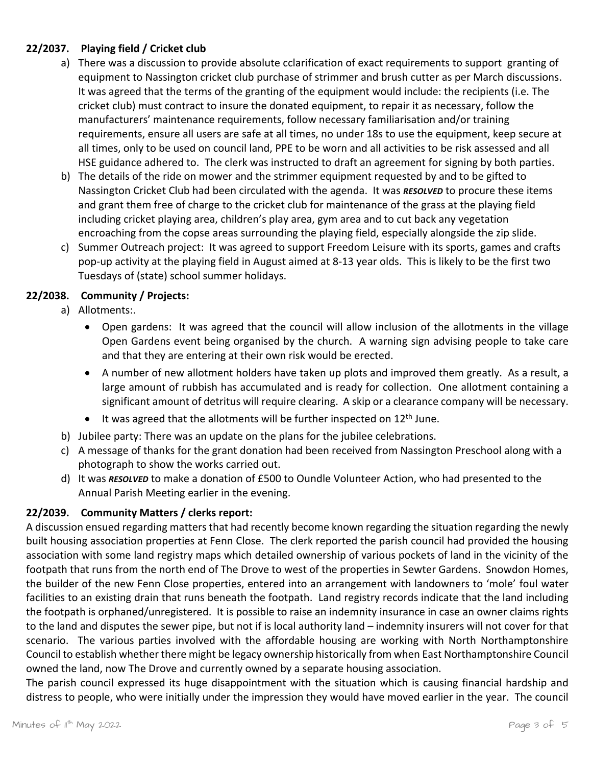# **22/2037. Playing field / Cricket club**

- a) There was a discussion to provide absolute cclarification of exact requirements to support granting of equipment to Nassington cricket club purchase of strimmer and brush cutter as per March discussions. It was agreed that the terms of the granting of the equipment would include: the recipients (i.e. The cricket club) must contract to insure the donated equipment, to repair it as necessary, follow the manufacturers' maintenance requirements, follow necessary familiarisation and/or training requirements, ensure all users are safe at all times, no under 18s to use the equipment, keep secure at all times, only to be used on council land, PPE to be worn and all activities to be risk assessed and all HSE guidance adhered to. The clerk was instructed to draft an agreement for signing by both parties.
- b) The details of the ride on mower and the strimmer equipment requested by and to be gifted to Nassington Cricket Club had been circulated with the agenda. It was *RESOLVED* to procure these items and grant them free of charge to the cricket club for maintenance of the grass at the playing field including cricket playing area, children's play area, gym area and to cut back any vegetation encroaching from the copse areas surrounding the playing field, especially alongside the zip slide.
- c) Summer Outreach project: It was agreed to support Freedom Leisure with its sports, games and crafts pop-up activity at the playing field in August aimed at 8-13 year olds. This is likely to be the first two Tuesdays of (state) school summer holidays.

## **22/2038. Community / Projects:**

- a) Allotments:.
	- Open gardens: It was agreed that the council will allow inclusion of the allotments in the village Open Gardens event being organised by the church. A warning sign advising people to take care and that they are entering at their own risk would be erected.
	- A number of new allotment holders have taken up plots and improved them greatly. As a result, a large amount of rubbish has accumulated and is ready for collection. One allotment containing a significant amount of detritus will require clearing. A skip or a clearance company will be necessary.
	- It was agreed that the allotments will be further inspected on 12<sup>th</sup> June.
- b) Jubilee party: There was an update on the plans for the jubilee celebrations.
- c) A message of thanks for the grant donation had been received from Nassington Preschool along with a photograph to show the works carried out.
- d) It was *RESOLVED* to make a donation of £500 to Oundle Volunteer Action, who had presented to the Annual Parish Meeting earlier in the evening.

## **22/2039. Community Matters / clerks report:**

A discussion ensued regarding matters that had recently become known regarding the situation regarding the newly built housing association properties at Fenn Close. The clerk reported the parish council had provided the housing association with some land registry maps which detailed ownership of various pockets of land in the vicinity of the footpath that runs from the north end of The Drove to west of the properties in Sewter Gardens. Snowdon Homes, the builder of the new Fenn Close properties, entered into an arrangement with landowners to 'mole' foul water facilities to an existing drain that runs beneath the footpath. Land registry records indicate that the land including the footpath is orphaned/unregistered. It is possible to raise an indemnity insurance in case an owner claims rights to the land and disputes the sewer pipe, but not if is local authority land – indemnity insurers will not cover for that scenario. The various parties involved with the affordable housing are working with North Northamptonshire Council to establish whether there might be legacy ownership historically from when East Northamptonshire Council owned the land, now The Drove and currently owned by a separate housing association.

The parish council expressed its huge disappointment with the situation which is causing financial hardship and distress to people, who were initially under the impression they would have moved earlier in the year. The council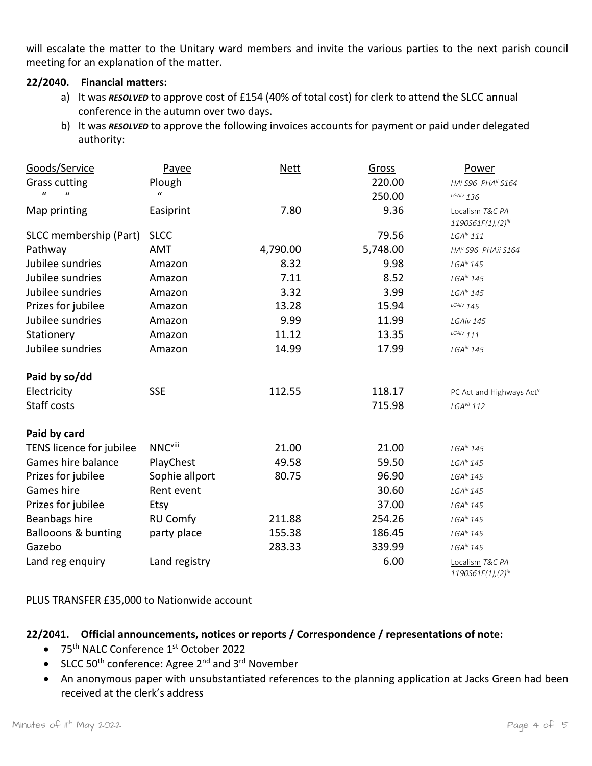will escalate the matter to the Unitary ward members and invite the various parties to the next parish council meeting for an explanation of the matter.

#### **22/2040. Financial matters:**

- a) It was *RESOLVED* to approve cost of £154 (40% of total cost) for clerk to attend the SLCC annual conference in the autumn over two days.
- <span id="page-3-1"></span><span id="page-3-0"></span>b) It was *RESOLVED* to approve the following invoices accounts for payment or paid under delegated authority:

| Goods/Service                  | Payee            | <b>Nett</b> | Gross    | Power                                             |
|--------------------------------|------------------|-------------|----------|---------------------------------------------------|
| <b>Grass cutting</b>           | Plough           |             | 220.00   | HA <sup>i</sup> S96 PHA <sup>ii</sup> S164        |
| $\mathbf{u}$<br>$\mathbf{u}$   | $\boldsymbol{u}$ |             | 250.00   | $LGAiv$ 136                                       |
| Map printing                   | Easiprint        | 7.80        | 9.36     | Localism T&C PA<br>1190S61F(1),(2) <sup>iii</sup> |
| SLCC membership (Part)         | <b>SLCC</b>      |             | 79.56    | $LGA^{iv}$ 111                                    |
| Pathway                        | <b>AMT</b>       | 4,790.00    | 5,748.00 | HA <sup>v</sup> S96 PHAii S164                    |
| Jubilee sundries               | Amazon           | 8.32        | 9.98     | $LGA^{\prime\prime}$ 145                          |
| Jubilee sundries               | Amazon           | 7.11        | 8.52     | $LGA^{\prime\prime}$ 145                          |
| Jubilee sundries               | Amazon           | 3.32        | 3.99     | $LGA^{iv}$ 145                                    |
| Prizes for jubilee             | Amazon           | 13.28       | 15.94    | $^{LGAiv}$ 145                                    |
| Jubilee sundries               | Amazon           | 9.99        | 11.99    | LGAiv 145                                         |
| Stationery                     | Amazon           | 11.12       | 13.35    | $^{LG A/V}$ 111                                   |
| Jubilee sundries               | Amazon           | 14.99       | 17.99    | $LGA^{iv}$ 145                                    |
| Paid by so/dd                  |                  |             |          |                                                   |
| Electricity                    | <b>SSE</b>       | 112.55      | 118.17   | PC Act and Highways Actv                          |
| Staff costs                    |                  |             | 715.98   | $LGAvii$ 112                                      |
| Paid by card                   |                  |             |          |                                                   |
| TENS licence for jubilee       | <b>NNCviii</b>   | 21.00       | 21.00    | $LGA^{\prime\prime}$ 145                          |
| Games hire balance             | PlayChest        | 49.58       | 59.50    | $LGA^{\prime\prime}$ 145                          |
| Prizes for jubilee             | Sophie allport   | 80.75       | 96.90    | $LGA^{\prime\prime}$ 145                          |
| Games hire                     | Rent event       |             | 30.60    | $LGA^{\prime\prime}$ 145                          |
| Prizes for jubilee             | Etsy             |             | 37.00    | $LGA^{\prime\prime}$ 145                          |
| Beanbags hire                  | <b>RU Comfy</b>  | 211.88      | 254.26   | $LGA^{\prime\prime}$ 145                          |
| <b>Ballooons &amp; bunting</b> | party place      | 155.38      | 186.45   | $LGA^{\prime\prime}$ 145                          |
| Gazebo                         |                  | 283.33      | 339.99   | $LGA^{\prime\prime}$ 145                          |
| Land reg enquiry               | Land registry    |             | 6.00     | Localism T&C PA<br>$1190S61F(1)$ , $(2)^{ix}$     |

PLUS TRANSFER £35,000 to Nationwide account

## **22/2041. Official announcements, notices or reports / Correspondence / representations of note:**

- 75<sup>th</sup> NALC Conference 1<sup>st</sup> October 2022
- SLCC 50<sup>th</sup> conference: Agree 2<sup>nd</sup> and 3<sup>rd</sup> November
- An anonymous paper with unsubstantiated references to the planning application at Jacks Green had been received at the clerk's address